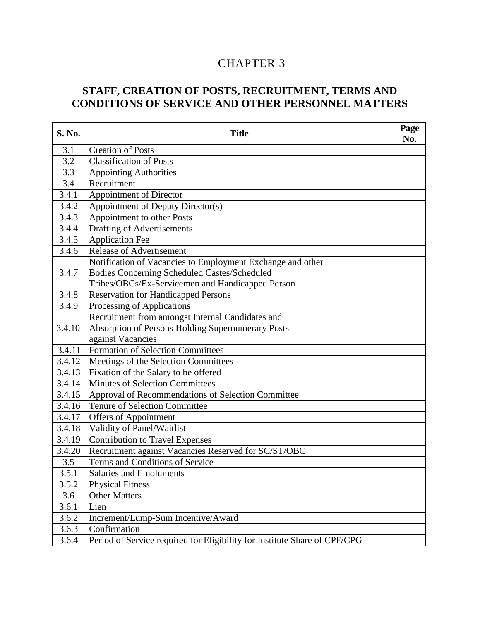# 3 CHAPTER 3

## **STAFF, CREATION OF POSTS, RECRUITMENT, TERMS AND CONDITIONS OF SERVICE AND OTHER PERSONNEL MATTERS**

| S. No. | <b>Title</b>                                                              | Page<br>No. |
|--------|---------------------------------------------------------------------------|-------------|
| 3.1    | <b>Creation of Posts</b>                                                  |             |
| 3.2    | <b>Classification of Posts</b>                                            |             |
| 3.3    | <b>Appointing Authorities</b>                                             |             |
| 3.4    | Recruitment                                                               |             |
| 3.4.1  | Appointment of Director                                                   |             |
| 3.4.2  | Appointment of Deputy Director(s)                                         |             |
| 3.4.3  | Appointment to other Posts                                                |             |
| 3.4.4  | Drafting of Advertisements                                                |             |
| 3.4.5  | <b>Application Fee</b>                                                    |             |
| 3.4.6  | <b>Release of Advertisement</b>                                           |             |
|        | Notification of Vacancies to Employment Exchange and other                |             |
| 3.4.7  | Bodies Concerning Scheduled Castes/Scheduled                              |             |
|        | Tribes/OBCs/Ex-Servicemen and Handicapped Person                          |             |
| 3.4.8  | <b>Reservation for Handicapped Persons</b>                                |             |
| 3.4.9  | Processing of Applications                                                |             |
|        | Recruitment from amongst Internal Candidates and                          |             |
| 3.4.10 | Absorption of Persons Holding Supernumerary Posts                         |             |
|        | against Vacancies                                                         |             |
| 3.4.11 | <b>Formation of Selection Committees</b>                                  |             |
| 3.4.12 | Meetings of the Selection Committees                                      |             |
| 3.4.13 | Fixation of the Salary to be offered                                      |             |
| 3.4.14 | <b>Minutes of Selection Committees</b>                                    |             |
| 3.4.15 | Approval of Recommendations of Selection Committee                        |             |
| 3.4.16 | <b>Tenure of Selection Committee</b>                                      |             |
| 3.4.17 | Offers of Appointment                                                     |             |
| 3.4.18 | Validity of Panel/Waitlist                                                |             |
| 3.4.19 | <b>Contribution to Travel Expenses</b>                                    |             |
| 3.4.20 | Recruitment against Vacancies Reserved for SC/ST/OBC                      |             |
| 3.5    | Terms and Conditions of Service                                           |             |
| 3.5.1  | <b>Salaries and Emoluments</b>                                            |             |
| 3.5.2  | <b>Physical Fitness</b>                                                   |             |
| 3.6    | <b>Other Matters</b>                                                      |             |
| 3.6.1  | Lien                                                                      |             |
| 3.6.2  | Increment/Lump-Sum Incentive/Award                                        |             |
| 3.6.3  | Confirmation                                                              |             |
| 3.6.4  | Period of Service required for Eligibility for Institute Share of CPF/CPG |             |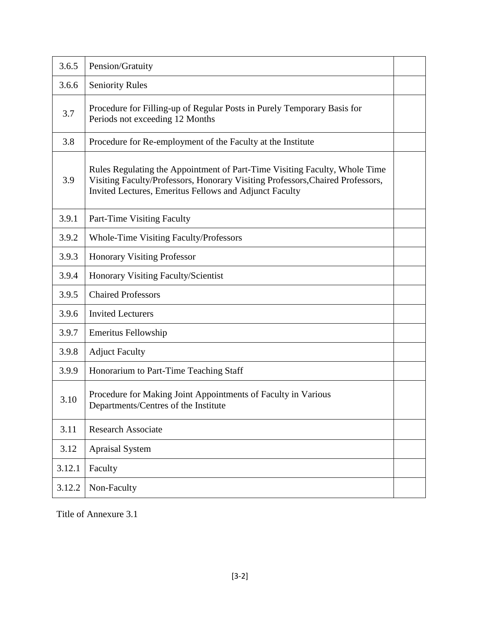| 3.6.5  | Pension/Gratuity                                                                                                                                                                                                       |  |
|--------|------------------------------------------------------------------------------------------------------------------------------------------------------------------------------------------------------------------------|--|
| 3.6.6  | <b>Seniority Rules</b>                                                                                                                                                                                                 |  |
| 3.7    | Procedure for Filling-up of Regular Posts in Purely Temporary Basis for<br>Periods not exceeding 12 Months                                                                                                             |  |
| 3.8    | Procedure for Re-employment of the Faculty at the Institute                                                                                                                                                            |  |
| 3.9    | Rules Regulating the Appointment of Part-Time Visiting Faculty, Whole Time<br>Visiting Faculty/Professors, Honorary Visiting Professors, Chaired Professors,<br>Invited Lectures, Emeritus Fellows and Adjunct Faculty |  |
| 3.9.1  | Part-Time Visiting Faculty                                                                                                                                                                                             |  |
| 3.9.2  | <b>Whole-Time Visiting Faculty/Professors</b>                                                                                                                                                                          |  |
| 3.9.3  | <b>Honorary Visiting Professor</b>                                                                                                                                                                                     |  |
| 3.9.4  | <b>Honorary Visiting Faculty/Scientist</b>                                                                                                                                                                             |  |
| 3.9.5  | <b>Chaired Professors</b>                                                                                                                                                                                              |  |
| 3.9.6  | <b>Invited Lecturers</b>                                                                                                                                                                                               |  |
| 3.9.7  | <b>Emeritus Fellowship</b>                                                                                                                                                                                             |  |
| 3.9.8  | <b>Adjuct Faculty</b>                                                                                                                                                                                                  |  |
| 3.9.9  | Honorarium to Part-Time Teaching Staff                                                                                                                                                                                 |  |
| 3.10   | Procedure for Making Joint Appointments of Faculty in Various<br>Departments/Centres of the Institute                                                                                                                  |  |
| 3.11   | <b>Research Associate</b>                                                                                                                                                                                              |  |
| 3.12   | <b>Apraisal System</b>                                                                                                                                                                                                 |  |
| 3.12.1 | Faculty                                                                                                                                                                                                                |  |
| 3.12.2 | Non-Faculty                                                                                                                                                                                                            |  |

Title of Annexure 3.1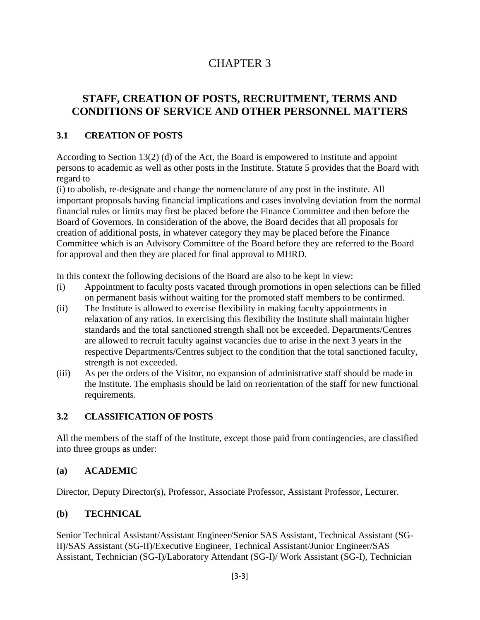# CHAPTER 3

## **STAFF, CREATION OF POSTS, RECRUITMENT, TERMS AND CONDITIONS OF SERVICE AND OTHER PERSONNEL MATTERS**

### **3.1 CREATION OF POSTS**

According to Section 13(2) (d) of the Act, the Board is empowered to institute and appoint persons to academic as well as other posts in the Institute. Statute 5 provides that the Board with regard to

(i) to abolish, re-designate and change the nomenclature of any post in the institute. All important proposals having financial implications and cases involving deviation from the normal financial rules or limits may first be placed before the Finance Committee and then before the Board of Governors. In consideration of the above, the Board decides that all proposals for creation of additional posts, in whatever category they may be placed before the Finance Committee which is an Advisory Committee of the Board before they are referred to the Board for approval and then they are placed for final approval to MHRD.

In this context the following decisions of the Board are also to be kept in view:

- (i) Appointment to faculty posts vacated through promotions in open selections can be filled on permanent basis without waiting for the promoted staff members to be confirmed.
- (ii) The Institute is allowed to exercise flexibility in making faculty appointments in relaxation of any ratios. In exercising this flexibility the Institute shall maintain higher standards and the total sanctioned strength shall not be exceeded. Departments/Centres are allowed to recruit faculty against vacancies due to arise in the next 3 years in the respective Departments/Centres subject to the condition that the total sanctioned faculty, strength is not exceeded.
- (iii) As per the orders of the Visitor, no expansion of administrative staff should be made in the Institute. The emphasis should be laid on reorientation of the staff for new functional requirements.

### **3.2 CLASSIFICATION OF POSTS**

All the members of the staff of the Institute, except those paid from contingencies, are classified into three groups as under:

#### **(a) ACADEMIC**

Director, Deputy Director(s), Professor, Associate Professor, Assistant Professor, Lecturer.

### **(b) TECHNICAL**

Senior Technical Assistant/Assistant Engineer/Senior SAS Assistant, Technical Assistant (SG-II)/SAS Assistant (SG-II)/Executive Engineer, Technical Assistant/Junior Engineer/SAS Assistant, Technician (SG-I)/Laboratory Attendant (SG-I)/ Work Assistant (SG-I), Technician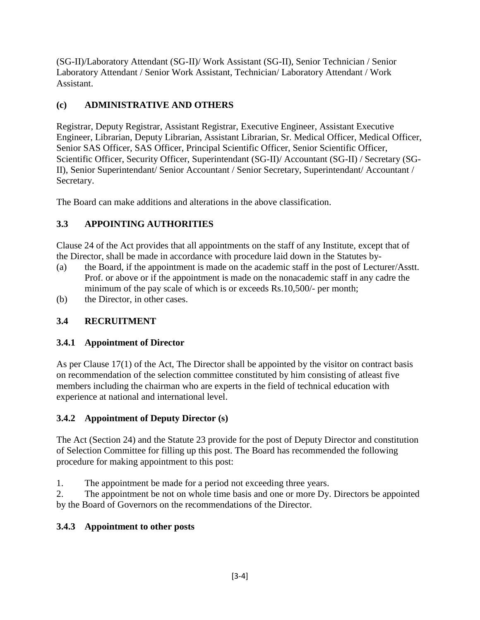(SG-II)/Laboratory Attendant (SG-II)/ Work Assistant (SG-II), Senior Technician / Senior Laboratory Attendant / Senior Work Assistant, Technician/ Laboratory Attendant / Work Assistant.

## **(c) ADMINISTRATIVE AND OTHERS**

Registrar, Deputy Registrar, Assistant Registrar, Executive Engineer, Assistant Executive Engineer, Librarian, Deputy Librarian, Assistant Librarian, Sr. Medical Officer, Medical Officer, Senior SAS Officer, SAS Officer, Principal Scientific Officer, Senior Scientific Officer, Scientific Officer, Security Officer, Superintendant (SG-II)/ Accountant (SG-II) / Secretary (SG-II), Senior Superintendant/ Senior Accountant / Senior Secretary, Superintendant/ Accountant / Secretary.

The Board can make additions and alterations in the above classification.

## **3.3 APPOINTING AUTHORITIES**

Clause 24 of the Act provides that all appointments on the staff of any Institute, except that of the Director, shall be made in accordance with procedure laid down in the Statutes by-

- (a) the Board, if the appointment is made on the academic staff in the post of Lecturer/Asstt. Prof. or above or if the appointment is made on the nonacademic staff in any cadre the minimum of the pay scale of which is or exceeds Rs.10,500/- per month;
- (b) the Director, in other cases.

## **3.4 RECRUITMENT**

## **3.4.1 Appointment of Director**

As per Clause 17(1) of the Act, The Director shall be appointed by the visitor on contract basis on recommendation of the selection committee constituted by him consisting of atleast five members including the chairman who are experts in the field of technical education with experience at national and international level.

## **3.4.2 Appointment of Deputy Director (s)**

The Act (Section 24) and the Statute 23 provide for the post of Deputy Director and constitution of Selection Committee for filling up this post. The Board has recommended the following procedure for making appointment to this post:

1. The appointment be made for a period not exceeding three years.

2. The appointment be not on whole time basis and one or more Dy. Directors be appointed by the Board of Governors on the recommendations of the Director.

## **3.4.3 Appointment to other posts**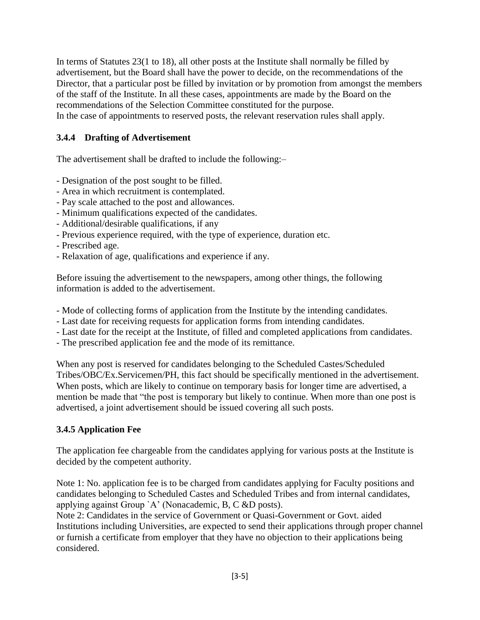In terms of Statutes 23(1 to 18), all other posts at the Institute shall normally be filled by advertisement, but the Board shall have the power to decide, on the recommendations of the Director, that a particular post be filled by invitation or by promotion from amongst the members of the staff of the Institute. In all these cases, appointments are made by the Board on the recommendations of the Selection Committee constituted for the purpose. In the case of appointments to reserved posts, the relevant reservation rules shall apply.

#### **3.4.4 Drafting of Advertisement**

The advertisement shall be drafted to include the following:–

- Designation of the post sought to be filled.
- Area in which recruitment is contemplated.
- Pay scale attached to the post and allowances.
- Minimum qualifications expected of the candidates.
- Additional/desirable qualifications, if any
- Previous experience required, with the type of experience, duration etc.
- Prescribed age.
- Relaxation of age, qualifications and experience if any.

Before issuing the advertisement to the newspapers, among other things, the following information is added to the advertisement.

- Mode of collecting forms of application from the Institute by the intending candidates.
- Last date for receiving requests for application forms from intending candidates.
- Last date for the receipt at the Institute, of filled and completed applications from candidates.
- The prescribed application fee and the mode of its remittance.

When any post is reserved for candidates belonging to the Scheduled Castes/Scheduled Tribes/OBC/Ex.Servicemen/PH, this fact should be specifically mentioned in the advertisement. When posts, which are likely to continue on temporary basis for longer time are advertised, a mention be made that "the post is temporary but likely to continue. When more than one post is advertised, a joint advertisement should be issued covering all such posts.

#### **3.4.5 Application Fee**

The application fee chargeable from the candidates applying for various posts at the Institute is decided by the competent authority.

Note 1: No. application fee is to be charged from candidates applying for Faculty positions and candidates belonging to Scheduled Castes and Scheduled Tribes and from internal candidates, applying against Group `A' (Nonacademic, B, C &D posts).

Note 2: Candidates in the service of Government or Quasi-Government or Govt. aided Institutions including Universities, are expected to send their applications through proper channel or furnish a certificate from employer that they have no objection to their applications being considered.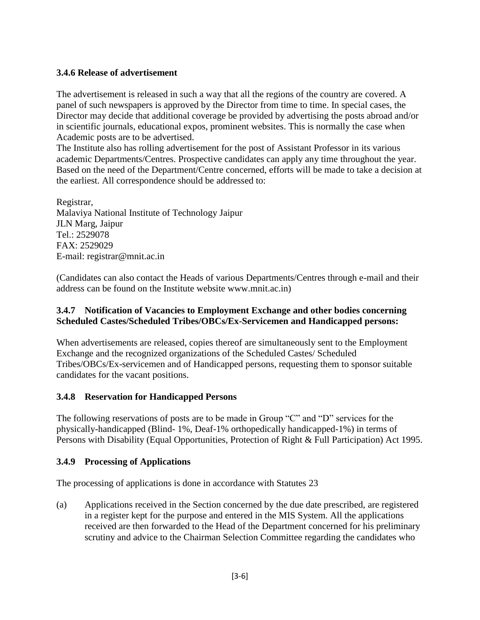#### **3.4.6 Release of advertisement**

The advertisement is released in such a way that all the regions of the country are covered. A panel of such newspapers is approved by the Director from time to time. In special cases, the Director may decide that additional coverage be provided by advertising the posts abroad and/or in scientific journals, educational expos, prominent websites. This is normally the case when Academic posts are to be advertised.

The Institute also has rolling advertisement for the post of Assistant Professor in its various academic Departments/Centres. Prospective candidates can apply any time throughout the year. Based on the need of the Department/Centre concerned, efforts will be made to take a decision at the earliest. All correspondence should be addressed to:

Registrar, Malaviya National Institute of Technology Jaipur JLN Marg, Jaipur Tel.: 2529078 FAX: 2529029 E-mail: registrar@mnit.ac.in

(Candidates can also contact the Heads of various Departments/Centres through e-mail and their address can be found on the Institute website www.mnit.ac.in)

#### **3.4.7 Notification of Vacancies to Employment Exchange and other bodies concerning Scheduled Castes/Scheduled Tribes/OBCs/Ex-Servicemen and Handicapped persons:**

When advertisements are released, copies thereof are simultaneously sent to the Employment Exchange and the recognized organizations of the Scheduled Castes/ Scheduled Tribes/OBCs/Ex-servicemen and of Handicapped persons, requesting them to sponsor suitable candidates for the vacant positions.

#### **3.4.8 Reservation for Handicapped Persons**

The following reservations of posts are to be made in Group "C" and "D" services for the physically-handicapped (Blind- 1%, Deaf-1% orthopedically handicapped-1%) in terms of Persons with Disability (Equal Opportunities, Protection of Right & Full Participation) Act 1995.

#### **3.4.9 Processing of Applications**

The processing of applications is done in accordance with Statutes 23

(a) Applications received in the Section concerned by the due date prescribed, are registered in a register kept for the purpose and entered in the MIS System. All the applications received are then forwarded to the Head of the Department concerned for his preliminary scrutiny and advice to the Chairman Selection Committee regarding the candidates who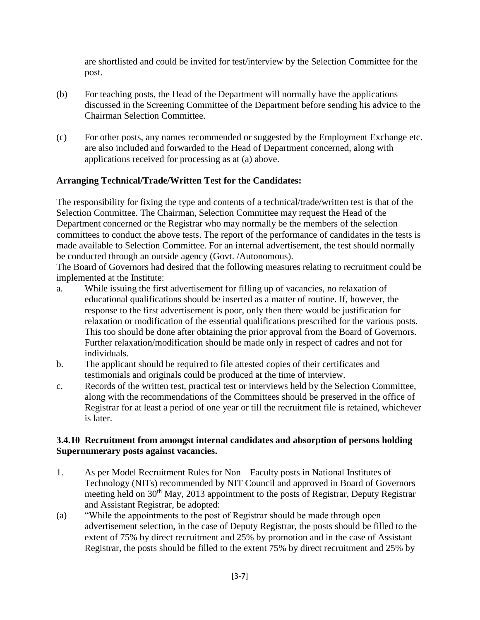are shortlisted and could be invited for test/interview by the Selection Committee for the post.

- (b) For teaching posts, the Head of the Department will normally have the applications discussed in the Screening Committee of the Department before sending his advice to the Chairman Selection Committee.
- (c) For other posts, any names recommended or suggested by the Employment Exchange etc. are also included and forwarded to the Head of Department concerned, along with applications received for processing as at (a) above.

#### **Arranging Technical/Trade/Written Test for the Candidates:**

The responsibility for fixing the type and contents of a technical/trade/written test is that of the Selection Committee. The Chairman, Selection Committee may request the Head of the Department concerned or the Registrar who may normally be the members of the selection committees to conduct the above tests. The report of the performance of candidates in the tests is made available to Selection Committee. For an internal advertisement, the test should normally be conducted through an outside agency (Govt. /Autonomous).

The Board of Governors had desired that the following measures relating to recruitment could be implemented at the Institute:

- a. While issuing the first advertisement for filling up of vacancies, no relaxation of educational qualifications should be inserted as a matter of routine. If, however, the response to the first advertisement is poor, only then there would be justification for relaxation or modification of the essential qualifications prescribed for the various posts. This too should be done after obtaining the prior approval from the Board of Governors. Further relaxation/modification should be made only in respect of cadres and not for individuals.
- b. The applicant should be required to file attested copies of their certificates and testimonials and originals could be produced at the time of interview.
- c. Records of the written test, practical test or interviews held by the Selection Committee, along with the recommendations of the Committees should be preserved in the office of Registrar for at least a period of one year or till the recruitment file is retained, whichever is later.

#### **3.4.10 Recruitment from amongst internal candidates and absorption of persons holding Supernumerary posts against vacancies.**

- 1. As per Model Recruitment Rules for Non Faculty posts in National Institutes of Technology (NITs) recommended by NIT Council and approved in Board of Governors meeting held on 30<sup>th</sup> May, 2013 appointment to the posts of Registrar, Deputy Registrar and Assistant Registrar, be adopted:
- (a) "While the appointments to the post of Registrar should be made through open advertisement selection, in the case of Deputy Registrar, the posts should be filled to the extent of 75% by direct recruitment and 25% by promotion and in the case of Assistant Registrar, the posts should be filled to the extent 75% by direct recruitment and 25% by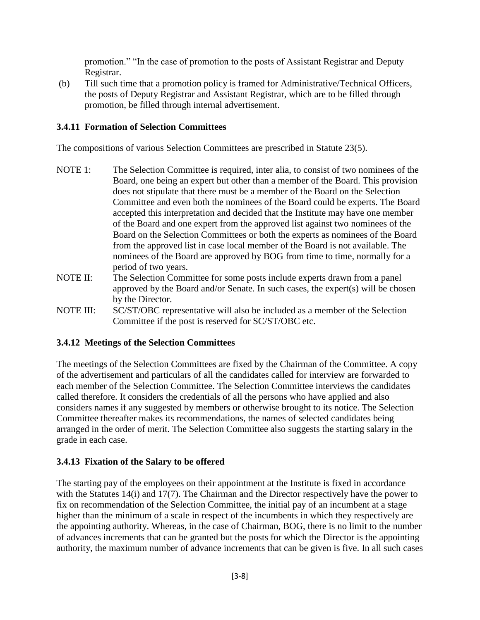promotion." "In the case of promotion to the posts of Assistant Registrar and Deputy Registrar.

(b) Till such time that a promotion policy is framed for Administrative/Technical Officers, the posts of Deputy Registrar and Assistant Registrar, which are to be filled through promotion, be filled through internal advertisement.

### **3.4.11 Formation of Selection Committees**

The compositions of various Selection Committees are prescribed in Statute 23(5).

- NOTE 1: The Selection Committee is required, inter alia, to consist of two nominees of the Board, one being an expert but other than a member of the Board. This provision does not stipulate that there must be a member of the Board on the Selection Committee and even both the nominees of the Board could be experts. The Board accepted this interpretation and decided that the Institute may have one member of the Board and one expert from the approved list against two nominees of the Board on the Selection Committees or both the experts as nominees of the Board from the approved list in case local member of the Board is not available. The nominees of the Board are approved by BOG from time to time, normally for a period of two years.
- NOTE II: The Selection Committee for some posts include experts drawn from a panel approved by the Board and/or Senate. In such cases, the expert(s) will be chosen by the Director.
- NOTE III: SC/ST/OBC representative will also be included as a member of the Selection Committee if the post is reserved for SC/ST/OBC etc.

#### **3.4.12 Meetings of the Selection Committees**

The meetings of the Selection Committees are fixed by the Chairman of the Committee. A copy of the advertisement and particulars of all the candidates called for interview are forwarded to each member of the Selection Committee. The Selection Committee interviews the candidates called therefore. It considers the credentials of all the persons who have applied and also considers names if any suggested by members or otherwise brought to its notice. The Selection Committee thereafter makes its recommendations, the names of selected candidates being arranged in the order of merit. The Selection Committee also suggests the starting salary in the grade in each case.

#### **3.4.13 Fixation of the Salary to be offered**

The starting pay of the employees on their appointment at the Institute is fixed in accordance with the Statutes 14(i) and 17(7). The Chairman and the Director respectively have the power to fix on recommendation of the Selection Committee, the initial pay of an incumbent at a stage higher than the minimum of a scale in respect of the incumbents in which they respectively are the appointing authority. Whereas, in the case of Chairman, BOG, there is no limit to the number of advances increments that can be granted but the posts for which the Director is the appointing authority, the maximum number of advance increments that can be given is five. In all such cases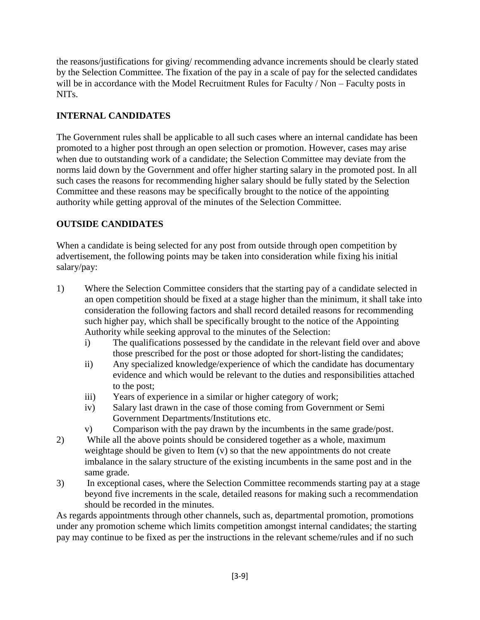the reasons/justifications for giving/ recommending advance increments should be clearly stated by the Selection Committee. The fixation of the pay in a scale of pay for the selected candidates will be in accordance with the Model Recruitment Rules for Faculty / Non – Faculty posts in NITs.

### **INTERNAL CANDIDATES**

The Government rules shall be applicable to all such cases where an internal candidate has been promoted to a higher post through an open selection or promotion. However, cases may arise when due to outstanding work of a candidate; the Selection Committee may deviate from the norms laid down by the Government and offer higher starting salary in the promoted post. In all such cases the reasons for recommending higher salary should be fully stated by the Selection Committee and these reasons may be specifically brought to the notice of the appointing authority while getting approval of the minutes of the Selection Committee.

## **OUTSIDE CANDIDATES**

When a candidate is being selected for any post from outside through open competition by advertisement, the following points may be taken into consideration while fixing his initial salary/pay:

- 1) Where the Selection Committee considers that the starting pay of a candidate selected in an open competition should be fixed at a stage higher than the minimum, it shall take into consideration the following factors and shall record detailed reasons for recommending such higher pay, which shall be specifically brought to the notice of the Appointing Authority while seeking approval to the minutes of the Selection:
	- i) The qualifications possessed by the candidate in the relevant field over and above those prescribed for the post or those adopted for short-listing the candidates;
	- ii) Any specialized knowledge/experience of which the candidate has documentary evidence and which would be relevant to the duties and responsibilities attached to the post;
	- iii) Years of experience in a similar or higher category of work;
	- iv) Salary last drawn in the case of those coming from Government or Semi Government Departments/Institutions etc.
	- v) Comparison with the pay drawn by the incumbents in the same grade/post.
- 2) While all the above points should be considered together as a whole, maximum weightage should be given to Item (v) so that the new appointments do not create imbalance in the salary structure of the existing incumbents in the same post and in the same grade.
- 3) In exceptional cases, where the Selection Committee recommends starting pay at a stage beyond five increments in the scale, detailed reasons for making such a recommendation should be recorded in the minutes.

As regards appointments through other channels, such as, departmental promotion, promotions under any promotion scheme which limits competition amongst internal candidates; the starting pay may continue to be fixed as per the instructions in the relevant scheme/rules and if no such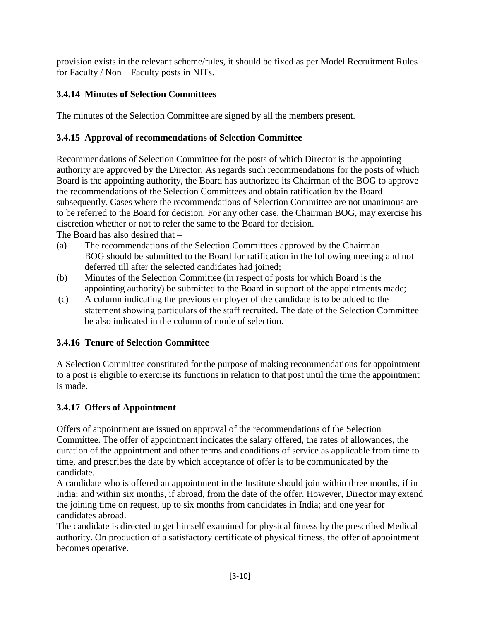provision exists in the relevant scheme/rules, it should be fixed as per Model Recruitment Rules for Faculty / Non – Faculty posts in NITs.

## **3.4.14 Minutes of Selection Committees**

The minutes of the Selection Committee are signed by all the members present.

## **3.4.15 Approval of recommendations of Selection Committee**

Recommendations of Selection Committee for the posts of which Director is the appointing authority are approved by the Director. As regards such recommendations for the posts of which Board is the appointing authority, the Board has authorized its Chairman of the BOG to approve the recommendations of the Selection Committees and obtain ratification by the Board subsequently. Cases where the recommendations of Selection Committee are not unanimous are to be referred to the Board for decision. For any other case, the Chairman BOG, may exercise his discretion whether or not to refer the same to the Board for decision.

The Board has also desired that –

- (a) The recommendations of the Selection Committees approved by the Chairman BOG should be submitted to the Board for ratification in the following meeting and not deferred till after the selected candidates had joined;
- (b) Minutes of the Selection Committee (in respect of posts for which Board is the appointing authority) be submitted to the Board in support of the appointments made;
- (c) A column indicating the previous employer of the candidate is to be added to the statement showing particulars of the staff recruited. The date of the Selection Committee be also indicated in the column of mode of selection.

## **3.4.16 Tenure of Selection Committee**

A Selection Committee constituted for the purpose of making recommendations for appointment to a post is eligible to exercise its functions in relation to that post until the time the appointment is made.

## **3.4.17 Offers of Appointment**

Offers of appointment are issued on approval of the recommendations of the Selection Committee. The offer of appointment indicates the salary offered, the rates of allowances, the duration of the appointment and other terms and conditions of service as applicable from time to time, and prescribes the date by which acceptance of offer is to be communicated by the candidate.

A candidate who is offered an appointment in the Institute should join within three months, if in India; and within six months, if abroad, from the date of the offer. However, Director may extend the joining time on request, up to six months from candidates in India; and one year for candidates abroad.

The candidate is directed to get himself examined for physical fitness by the prescribed Medical authority. On production of a satisfactory certificate of physical fitness, the offer of appointment becomes operative.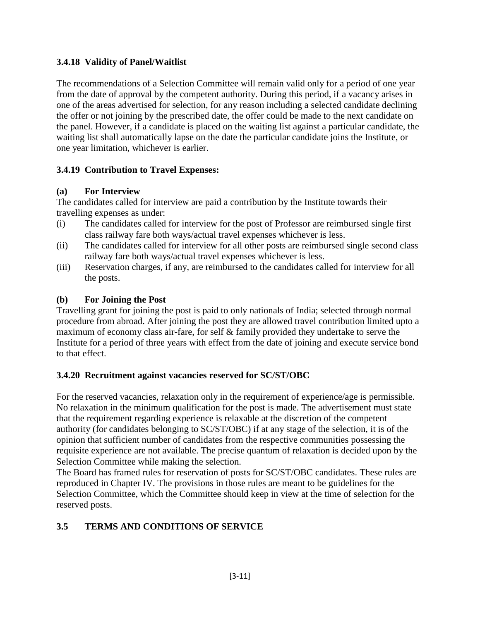### **3.4.18 Validity of Panel/Waitlist**

The recommendations of a Selection Committee will remain valid only for a period of one year from the date of approval by the competent authority. During this period, if a vacancy arises in one of the areas advertised for selection, for any reason including a selected candidate declining the offer or not joining by the prescribed date, the offer could be made to the next candidate on the panel. However, if a candidate is placed on the waiting list against a particular candidate, the waiting list shall automatically lapse on the date the particular candidate joins the Institute, or one year limitation, whichever is earlier.

#### **3.4.19 Contribution to Travel Expenses:**

#### **(a) For Interview**

The candidates called for interview are paid a contribution by the Institute towards their travelling expenses as under:

- (i) The candidates called for interview for the post of Professor are reimbursed single first class railway fare both ways/actual travel expenses whichever is less.
- (ii) The candidates called for interview for all other posts are reimbursed single second class railway fare both ways/actual travel expenses whichever is less.
- (iii) Reservation charges, if any, are reimbursed to the candidates called for interview for all the posts.

#### **(b) For Joining the Post**

Travelling grant for joining the post is paid to only nationals of India; selected through normal procedure from abroad. After joining the post they are allowed travel contribution limited upto a maximum of economy class air-fare, for self & family provided they undertake to serve the Institute for a period of three years with effect from the date of joining and execute service bond to that effect.

### **3.4.20 Recruitment against vacancies reserved for SC/ST/OBC**

For the reserved vacancies, relaxation only in the requirement of experience/age is permissible. No relaxation in the minimum qualification for the post is made. The advertisement must state that the requirement regarding experience is relaxable at the discretion of the competent authority (for candidates belonging to SC/ST/OBC) if at any stage of the selection, it is of the opinion that sufficient number of candidates from the respective communities possessing the requisite experience are not available. The precise quantum of relaxation is decided upon by the Selection Committee while making the selection.

The Board has framed rules for reservation of posts for SC/ST/OBC candidates. These rules are reproduced in Chapter IV. The provisions in those rules are meant to be guidelines for the Selection Committee, which the Committee should keep in view at the time of selection for the reserved posts.

### **3.5 TERMS AND CONDITIONS OF SERVICE**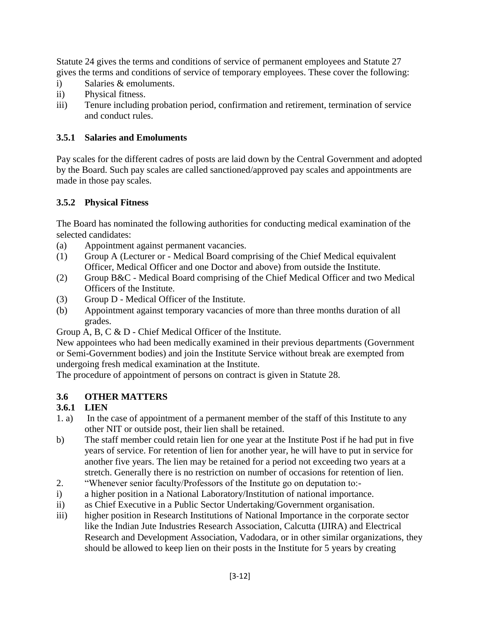Statute 24 gives the terms and conditions of service of permanent employees and Statute 27 gives the terms and conditions of service of temporary employees. These cover the following:

- i) Salaries & emoluments.
- ii) Physical fitness.
- iii) Tenure including probation period, confirmation and retirement, termination of service and conduct rules.

### **3.5.1 Salaries and Emoluments**

Pay scales for the different cadres of posts are laid down by the Central Government and adopted by the Board. Such pay scales are called sanctioned/approved pay scales and appointments are made in those pay scales.

### **3.5.2 Physical Fitness**

The Board has nominated the following authorities for conducting medical examination of the selected candidates:

- (a) Appointment against permanent vacancies.
- (1) Group A (Lecturer or Medical Board comprising of the Chief Medical equivalent Officer, Medical Officer and one Doctor and above) from outside the Institute.
- (2) Group B&C Medical Board comprising of the Chief Medical Officer and two Medical Officers of the Institute.
- (3) Group D Medical Officer of the Institute.
- (b) Appointment against temporary vacancies of more than three months duration of all grades.

Group A, B, C & D - Chief Medical Officer of the Institute.

New appointees who had been medically examined in their previous departments (Government or Semi-Government bodies) and join the Institute Service without break are exempted from undergoing fresh medical examination at the Institute.

The procedure of appointment of persons on contract is given in Statute 28.

## **3.6 OTHER MATTERS**

### **3.6.1 LIEN**

- 1. a) In the case of appointment of a permanent member of the staff of this Institute to any other NIT or outside post, their lien shall be retained.
- b) The staff member could retain lien for one year at the Institute Post if he had put in five years of service. For retention of lien for another year, he will have to put in service for another five years. The lien may be retained for a period not exceeding two years at a stretch. Generally there is no restriction on number of occasions for retention of lien.
- 2. "Whenever senior faculty/Professors of the Institute go on deputation to:-
- i) a higher position in a National Laboratory/Institution of national importance.
- ii) as Chief Executive in a Public Sector Undertaking/Government organisation.
- iii) higher position in Research Institutions of National Importance in the corporate sector like the Indian Jute Industries Research Association, Calcutta (IJIRA) and Electrical Research and Development Association, Vadodara, or in other similar organizations, they should be allowed to keep lien on their posts in the Institute for 5 years by creating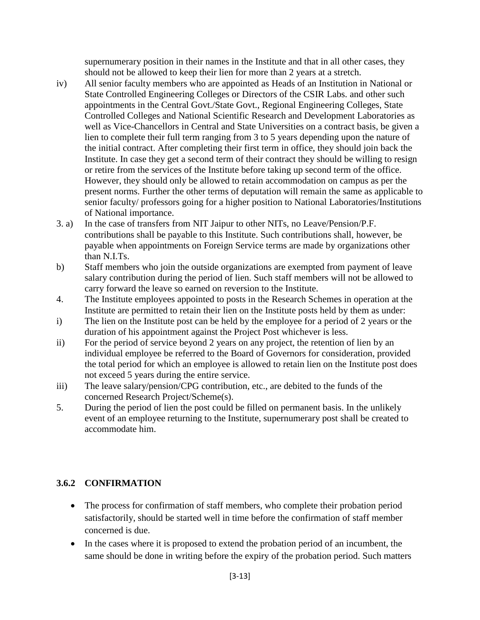supernumerary position in their names in the Institute and that in all other cases, they should not be allowed to keep their lien for more than 2 years at a stretch.

- iv) All senior faculty members who are appointed as Heads of an Institution in National or State Controlled Engineering Colleges or Directors of the CSIR Labs. and other such appointments in the Central Govt./State Govt., Regional Engineering Colleges, State Controlled Colleges and National Scientific Research and Development Laboratories as well as Vice-Chancellors in Central and State Universities on a contract basis, be given a lien to complete their full term ranging from 3 to 5 years depending upon the nature of the initial contract. After completing their first term in office, they should join back the Institute. In case they get a second term of their contract they should be willing to resign or retire from the services of the Institute before taking up second term of the office. However, they should only be allowed to retain accommodation on campus as per the present norms. Further the other terms of deputation will remain the same as applicable to senior faculty/ professors going for a higher position to National Laboratories/Institutions of National importance.
- 3. a) In the case of transfers from NIT Jaipur to other NITs, no Leave/Pension/P.F. contributions shall be payable to this Institute. Such contributions shall, however, be payable when appointments on Foreign Service terms are made by organizations other than N.I.Ts.
- b) Staff members who join the outside organizations are exempted from payment of leave salary contribution during the period of lien. Such staff members will not be allowed to carry forward the leave so earned on reversion to the Institute.
- 4. The Institute employees appointed to posts in the Research Schemes in operation at the Institute are permitted to retain their lien on the Institute posts held by them as under:
- i) The lien on the Institute post can be held by the employee for a period of 2 years or the duration of his appointment against the Project Post whichever is less.
- ii) For the period of service beyond 2 years on any project, the retention of lien by an individual employee be referred to the Board of Governors for consideration, provided the total period for which an employee is allowed to retain lien on the Institute post does not exceed 5 years during the entire service.
- iii) The leave salary/pension/CPG contribution, etc., are debited to the funds of the concerned Research Project/Scheme(s).
- 5. During the period of lien the post could be filled on permanent basis. In the unlikely event of an employee returning to the Institute, supernumerary post shall be created to accommodate him.

### **3.6.2 CONFIRMATION**

- The process for confirmation of staff members, who complete their probation period satisfactorily, should be started well in time before the confirmation of staff member concerned is due.
- In the cases where it is proposed to extend the probation period of an incumbent, the same should be done in writing before the expiry of the probation period. Such matters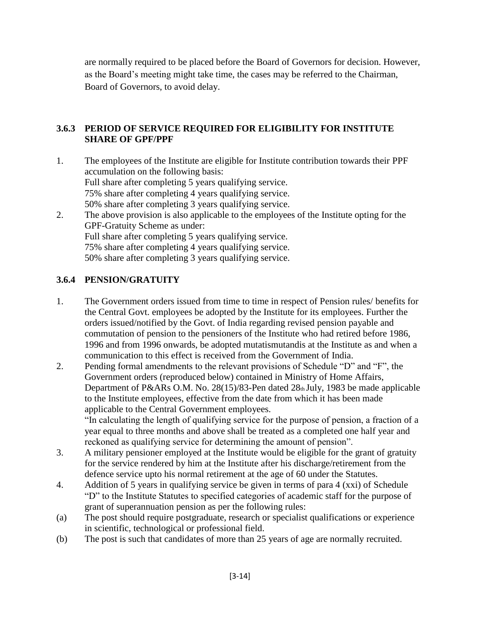are normally required to be placed before the Board of Governors for decision. However, as the Board's meeting might take time, the cases may be referred to the Chairman, Board of Governors, to avoid delay.

### **3.6.3 PERIOD OF SERVICE REQUIRED FOR ELIGIBILITY FOR INSTITUTE SHARE OF GPF/PPF**

1. The employees of the Institute are eligible for Institute contribution towards their PPF accumulation on the following basis: Full share after completing 5 years qualifying service. 75% share after completing 4 years qualifying service. 50% share after completing 3 years qualifying service. 2. The above provision is also applicable to the employees of the Institute opting for the GPF-Gratuity Scheme as under: Full share after completing 5 years qualifying service.

75% share after completing 4 years qualifying service.

50% share after completing 3 years qualifying service.

#### **3.6.4 PENSION/GRATUITY**

- 1. The Government orders issued from time to time in respect of Pension rules/ benefits for the Central Govt. employees be adopted by the Institute for its employees. Further the orders issued/notified by the Govt. of India regarding revised pension payable and commutation of pension to the pensioners of the Institute who had retired before 1986, 1996 and from 1996 onwards, be adopted mutatismutandis at the Institute as and when a communication to this effect is received from the Government of India.
- 2. Pending formal amendments to the relevant provisions of Schedule "D" and "F", the Government orders (reproduced below) contained in Ministry of Home Affairs, Department of P&ARs O.M. No. 28(15)/83-Pen dated 28th July, 1983 be made applicable to the Institute employees, effective from the date from which it has been made applicable to the Central Government employees. "In calculating the length of qualifying service for the purpose of pension, a fraction of a year equal to three months and above shall be treated as a completed one half year and reckoned as qualifying service for determining the amount of pension".
- 3. A military pensioner employed at the Institute would be eligible for the grant of gratuity for the service rendered by him at the Institute after his discharge/retirement from the defence service upto his normal retirement at the age of 60 under the Statutes.
- 4. Addition of 5 years in qualifying service be given in terms of para 4 (xxi) of Schedule "D" to the Institute Statutes to specified categories of academic staff for the purpose of grant of superannuation pension as per the following rules:
- (a) The post should require postgraduate, research or specialist qualifications or experience in scientific, technological or professional field.
- (b) The post is such that candidates of more than 25 years of age are normally recruited.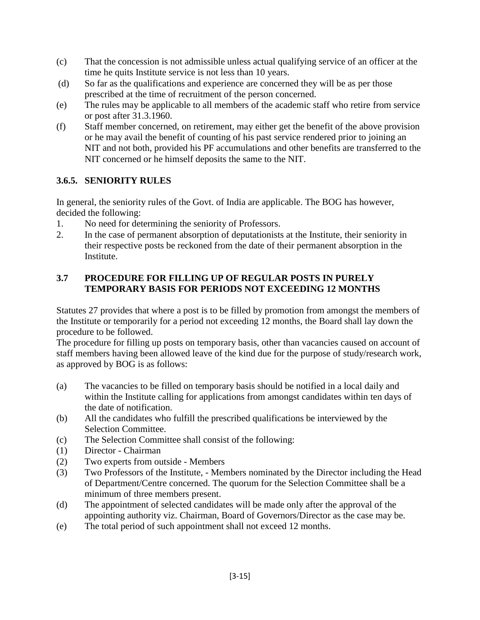- (c) That the concession is not admissible unless actual qualifying service of an officer at the time he quits Institute service is not less than 10 years.
- (d) So far as the qualifications and experience are concerned they will be as per those prescribed at the time of recruitment of the person concerned.
- (e) The rules may be applicable to all members of the academic staff who retire from service or post after 31.3.1960.
- (f) Staff member concerned, on retirement, may either get the benefit of the above provision or he may avail the benefit of counting of his past service rendered prior to joining an NIT and not both, provided his PF accumulations and other benefits are transferred to the NIT concerned or he himself deposits the same to the NIT.

### **3.6.5. SENIORITY RULES**

In general, the seniority rules of the Govt. of India are applicable. The BOG has however, decided the following:

- 1. No need for determining the seniority of Professors.
- 2. In the case of permanent absorption of deputationists at the Institute, their seniority in their respective posts be reckoned from the date of their permanent absorption in the Institute.

### **3.7 PROCEDURE FOR FILLING UP OF REGULAR POSTS IN PURELY TEMPORARY BASIS FOR PERIODS NOT EXCEEDING 12 MONTHS**

Statutes 27 provides that where a post is to be filled by promotion from amongst the members of the Institute or temporarily for a period not exceeding 12 months, the Board shall lay down the procedure to be followed.

The procedure for filling up posts on temporary basis, other than vacancies caused on account of staff members having been allowed leave of the kind due for the purpose of study/research work, as approved by BOG is as follows:

- (a) The vacancies to be filled on temporary basis should be notified in a local daily and within the Institute calling for applications from amongst candidates within ten days of the date of notification.
- (b) All the candidates who fulfill the prescribed qualifications be interviewed by the Selection Committee.
- (c) The Selection Committee shall consist of the following:
- (1) Director Chairman
- (2) Two experts from outside Members
- (3) Two Professors of the Institute, Members nominated by the Director including the Head of Department/Centre concerned. The quorum for the Selection Committee shall be a minimum of three members present.
- (d) The appointment of selected candidates will be made only after the approval of the appointing authority viz. Chairman, Board of Governors/Director as the case may be.
- (e) The total period of such appointment shall not exceed 12 months.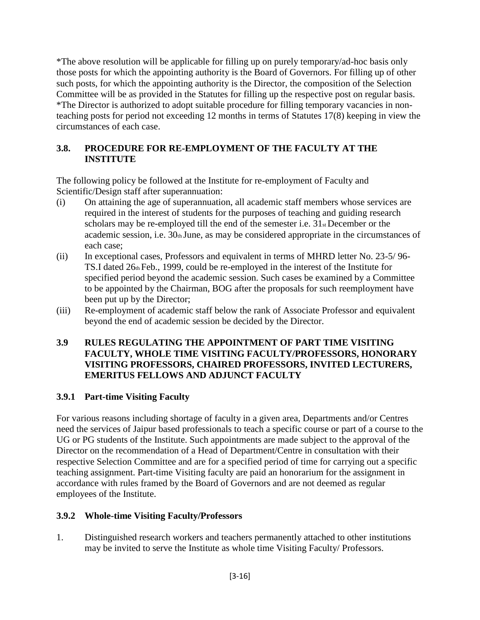\*The above resolution will be applicable for filling up on purely temporary/ad-hoc basis only those posts for which the appointing authority is the Board of Governors. For filling up of other such posts, for which the appointing authority is the Director, the composition of the Selection Committee will be as provided in the Statutes for filling up the respective post on regular basis. \*The Director is authorized to adopt suitable procedure for filling temporary vacancies in nonteaching posts for period not exceeding 12 months in terms of Statutes 17(8) keeping in view the circumstances of each case.

#### **3.8. PROCEDURE FOR RE-EMPLOYMENT OF THE FACULTY AT THE INSTITUTE**

The following policy be followed at the Institute for re-employment of Faculty and Scientific/Design staff after superannuation:

- (i) On attaining the age of superannuation, all academic staff members whose services are required in the interest of students for the purposes of teaching and guiding research scholars may be re-employed till the end of the semester i.e. 31<sub>st</sub> December or the academic session, i.e. 30th June, as may be considered appropriate in the circumstances of each case;
- (ii) In exceptional cases, Professors and equivalent in terms of MHRD letter No. 23-5/ 96- TS.I dated 26th Feb., 1999, could be re-employed in the interest of the Institute for specified period beyond the academic session. Such cases be examined by a Committee to be appointed by the Chairman, BOG after the proposals for such reemployment have been put up by the Director;
- (iii) Re-employment of academic staff below the rank of Associate Professor and equivalent beyond the end of academic session be decided by the Director.

#### **3.9 RULES REGULATING THE APPOINTMENT OF PART TIME VISITING FACULTY, WHOLE TIME VISITING FACULTY/PROFESSORS, HONORARY VISITING PROFESSORS, CHAIRED PROFESSORS, INVITED LECTURERS, EMERITUS FELLOWS AND ADJUNCT FACULTY**

### **3.9.1 Part-time Visiting Faculty**

For various reasons including shortage of faculty in a given area, Departments and/or Centres need the services of Jaipur based professionals to teach a specific course or part of a course to the UG or PG students of the Institute. Such appointments are made subject to the approval of the Director on the recommendation of a Head of Department/Centre in consultation with their respective Selection Committee and are for a specified period of time for carrying out a specific teaching assignment. Part-time Visiting faculty are paid an honorarium for the assignment in accordance with rules framed by the Board of Governors and are not deemed as regular employees of the Institute.

#### **3.9.2 Whole-time Visiting Faculty/Professors**

1. Distinguished research workers and teachers permanently attached to other institutions may be invited to serve the Institute as whole time Visiting Faculty/ Professors.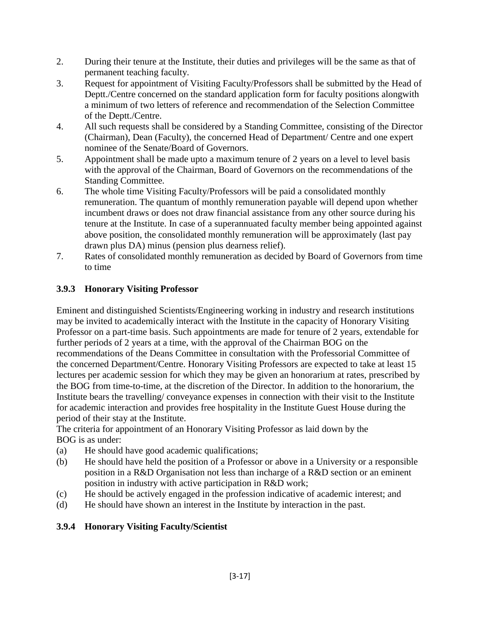- 2. During their tenure at the Institute, their duties and privileges will be the same as that of permanent teaching faculty.
- 3. Request for appointment of Visiting Faculty/Professors shall be submitted by the Head of Deptt./Centre concerned on the standard application form for faculty positions alongwith a minimum of two letters of reference and recommendation of the Selection Committee of the Deptt./Centre.
- 4. All such requests shall be considered by a Standing Committee, consisting of the Director (Chairman), Dean (Faculty), the concerned Head of Department/ Centre and one expert nominee of the Senate/Board of Governors.
- 5. Appointment shall be made upto a maximum tenure of 2 years on a level to level basis with the approval of the Chairman, Board of Governors on the recommendations of the Standing Committee.
- 6. The whole time Visiting Faculty/Professors will be paid a consolidated monthly remuneration. The quantum of monthly remuneration payable will depend upon whether incumbent draws or does not draw financial assistance from any other source during his tenure at the Institute. In case of a superannuated faculty member being appointed against above position, the consolidated monthly remuneration will be approximately (last pay drawn plus DA) minus (pension plus dearness relief).
- 7. Rates of consolidated monthly remuneration as decided by Board of Governors from time to time

## **3.9.3 Honorary Visiting Professor**

Eminent and distinguished Scientists/Engineering working in industry and research institutions may be invited to academically interact with the Institute in the capacity of Honorary Visiting Professor on a part-time basis. Such appointments are made for tenure of 2 years, extendable for further periods of 2 years at a time, with the approval of the Chairman BOG on the recommendations of the Deans Committee in consultation with the Professorial Committee of the concerned Department/Centre. Honorary Visiting Professors are expected to take at least 15 lectures per academic session for which they may be given an honorarium at rates, prescribed by the BOG from time-to-time, at the discretion of the Director. In addition to the honorarium, the Institute bears the travelling/ conveyance expenses in connection with their visit to the Institute for academic interaction and provides free hospitality in the Institute Guest House during the period of their stay at the Institute.

The criteria for appointment of an Honorary Visiting Professor as laid down by the BOG is as under:

- (a) He should have good academic qualifications;
- (b) He should have held the position of a Professor or above in a University or a responsible position in a R&D Organisation not less than incharge of a R&D section or an eminent position in industry with active participation in R&D work;
- (c) He should be actively engaged in the profession indicative of academic interest; and
- (d) He should have shown an interest in the Institute by interaction in the past.

### **3.9.4 Honorary Visiting Faculty/Scientist**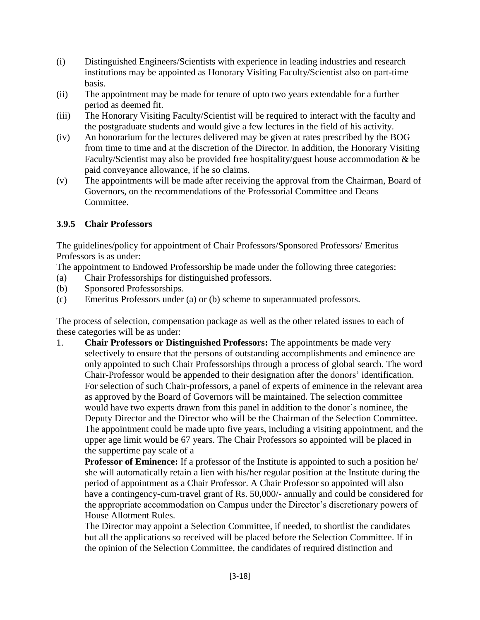- (i) Distinguished Engineers/Scientists with experience in leading industries and research institutions may be appointed as Honorary Visiting Faculty/Scientist also on part-time basis.
- (ii) The appointment may be made for tenure of upto two years extendable for a further period as deemed fit.
- (iii) The Honorary Visiting Faculty/Scientist will be required to interact with the faculty and the postgraduate students and would give a few lectures in the field of his activity.
- (iv) An honorarium for the lectures delivered may be given at rates prescribed by the BOG from time to time and at the discretion of the Director. In addition, the Honorary Visiting Faculty/Scientist may also be provided free hospitality/guest house accommodation & be paid conveyance allowance, if he so claims.
- (v) The appointments will be made after receiving the approval from the Chairman, Board of Governors, on the recommendations of the Professorial Committee and Deans Committee.

### **3.9.5 Chair Professors**

The guidelines/policy for appointment of Chair Professors/Sponsored Professors/ Emeritus Professors is as under:

The appointment to Endowed Professorship be made under the following three categories:

- (a) Chair Professorships for distinguished professors.
- (b) Sponsored Professorships.
- (c) Emeritus Professors under (a) or (b) scheme to superannuated professors.

The process of selection, compensation package as well as the other related issues to each of these categories will be as under:

1. **Chair Professors or Distinguished Professors:** The appointments be made very selectively to ensure that the persons of outstanding accomplishments and eminence are only appointed to such Chair Professorships through a process of global search. The word Chair-Professor would be appended to their designation after the donors' identification. For selection of such Chair-professors, a panel of experts of eminence in the relevant area as approved by the Board of Governors will be maintained. The selection committee would have two experts drawn from this panel in addition to the donor's nominee, the Deputy Director and the Director who will be the Chairman of the Selection Committee. The appointment could be made upto five years, including a visiting appointment, and the upper age limit would be 67 years. The Chair Professors so appointed will be placed in the suppertime pay scale of a

**Professor of Eminence:** If a professor of the Institute is appointed to such a position he/ she will automatically retain a lien with his/her regular position at the Institute during the period of appointment as a Chair Professor. A Chair Professor so appointed will also have a contingency-cum-travel grant of Rs. 50,000/- annually and could be considered for the appropriate accommodation on Campus under the Director's discretionary powers of House Allotment Rules.

The Director may appoint a Selection Committee, if needed, to shortlist the candidates but all the applications so received will be placed before the Selection Committee. If in the opinion of the Selection Committee, the candidates of required distinction and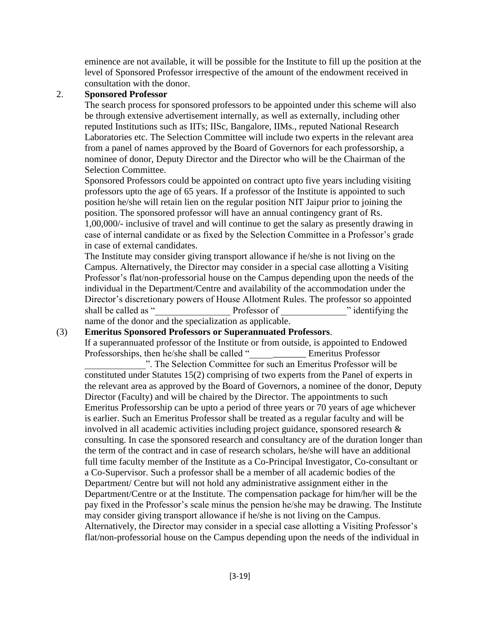eminence are not available, it will be possible for the Institute to fill up the position at the level of Sponsored Professor irrespective of the amount of the endowment received in consultation with the donor.

#### 2. **Sponsored Professor**

The search process for sponsored professors to be appointed under this scheme will also be through extensive advertisement internally, as well as externally, including other reputed Institutions such as IITs; IISc, Bangalore, IIMs., reputed National Research Laboratories etc. The Selection Committee will include two experts in the relevant area from a panel of names approved by the Board of Governors for each professorship, a nominee of donor, Deputy Director and the Director who will be the Chairman of the Selection Committee.

Sponsored Professors could be appointed on contract upto five years including visiting professors upto the age of 65 years. If a professor of the Institute is appointed to such position he/she will retain lien on the regular position NIT Jaipur prior to joining the position. The sponsored professor will have an annual contingency grant of Rs. 1,00,000/- inclusive of travel and will continue to get the salary as presently drawing in case of internal candidate or as fixed by the Selection Committee in a Professor's grade in case of external candidates.

The Institute may consider giving transport allowance if he/she is not living on the Campus. Alternatively, the Director may consider in a special case allotting a Visiting Professor's flat/non-professorial house on the Campus depending upon the needs of the individual in the Department/Centre and availability of the accommodation under the Director's discretionary powers of House Allotment Rules. The professor so appointed shall be called as "<br>
Professor of "identifying the name of the donor and the specialization as applicable.

#### (3) **Emeritus Sponsored Professors or Superannuated Professors**.

If a superannuated professor of the Institute or from outside, is appointed to Endowed Professorships, then he/she shall be called "\_\_\_\_\_\_\_\_\_\_\_ Emeritus Professor

". The Selection Committee for such an Emeritus Professor will be constituted under Statutes 15(2) comprising of two experts from the Panel of experts in the relevant area as approved by the Board of Governors, a nominee of the donor, Deputy Director (Faculty) and will be chaired by the Director. The appointments to such Emeritus Professorship can be upto a period of three years or 70 years of age whichever is earlier. Such an Emeritus Professor shall be treated as a regular faculty and will be involved in all academic activities including project guidance, sponsored research  $\&$ consulting. In case the sponsored research and consultancy are of the duration longer than the term of the contract and in case of research scholars, he/she will have an additional full time faculty member of the Institute as a Co-Principal Investigator, Co-consultant or a Co-Supervisor. Such a professor shall be a member of all academic bodies of the Department/ Centre but will not hold any administrative assignment either in the Department/Centre or at the Institute. The compensation package for him/her will be the pay fixed in the Professor's scale minus the pension he/she may be drawing. The Institute may consider giving transport allowance if he/she is not living on the Campus. Alternatively, the Director may consider in a special case allotting a Visiting Professor's flat/non-professorial house on the Campus depending upon the needs of the individual in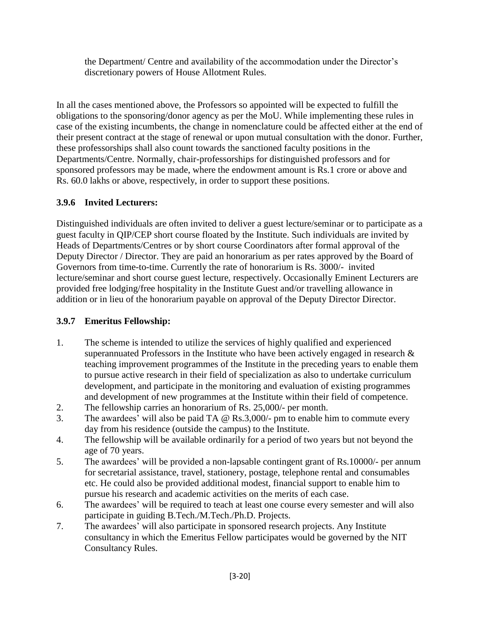the Department/ Centre and availability of the accommodation under the Director's discretionary powers of House Allotment Rules.

In all the cases mentioned above, the Professors so appointed will be expected to fulfill the obligations to the sponsoring/donor agency as per the MoU. While implementing these rules in case of the existing incumbents, the change in nomenclature could be affected either at the end of their present contract at the stage of renewal or upon mutual consultation with the donor. Further, these professorships shall also count towards the sanctioned faculty positions in the Departments/Centre. Normally, chair-professorships for distinguished professors and for sponsored professors may be made, where the endowment amount is Rs.1 crore or above and Rs. 60.0 lakhs or above, respectively, in order to support these positions.

## **3.9.6 Invited Lecturers:**

Distinguished individuals are often invited to deliver a guest lecture/seminar or to participate as a guest faculty in QIP/CEP short course floated by the Institute. Such individuals are invited by Heads of Departments/Centres or by short course Coordinators after formal approval of the Deputy Director / Director. They are paid an honorarium as per rates approved by the Board of Governors from time-to-time. Currently the rate of honorarium is Rs. 3000/- invited lecture/seminar and short course guest lecture, respectively. Occasionally Eminent Lecturers are provided free lodging/free hospitality in the Institute Guest and/or travelling allowance in addition or in lieu of the honorarium payable on approval of the Deputy Director Director.

## **3.9.7 Emeritus Fellowship:**

- 1. The scheme is intended to utilize the services of highly qualified and experienced superannuated Professors in the Institute who have been actively engaged in research  $\&$ teaching improvement programmes of the Institute in the preceding years to enable them to pursue active research in their field of specialization as also to undertake curriculum development, and participate in the monitoring and evaluation of existing programmes and development of new programmes at the Institute within their field of competence.
- 2. The fellowship carries an honorarium of Rs. 25,000/- per month.
- 3. The awardees' will also be paid TA @ Rs.3,000/- pm to enable him to commute every day from his residence (outside the campus) to the Institute.
- 4. The fellowship will be available ordinarily for a period of two years but not beyond the age of 70 years.
- 5. The awardees' will be provided a non-lapsable contingent grant of Rs.10000/- per annum for secretarial assistance, travel, stationery, postage, telephone rental and consumables etc. He could also be provided additional modest, financial support to enable him to pursue his research and academic activities on the merits of each case.
- 6. The awardees' will be required to teach at least one course every semester and will also participate in guiding B.Tech./M.Tech./Ph.D. Projects.
- 7. The awardees' will also participate in sponsored research projects. Any Institute consultancy in which the Emeritus Fellow participates would be governed by the NIT Consultancy Rules.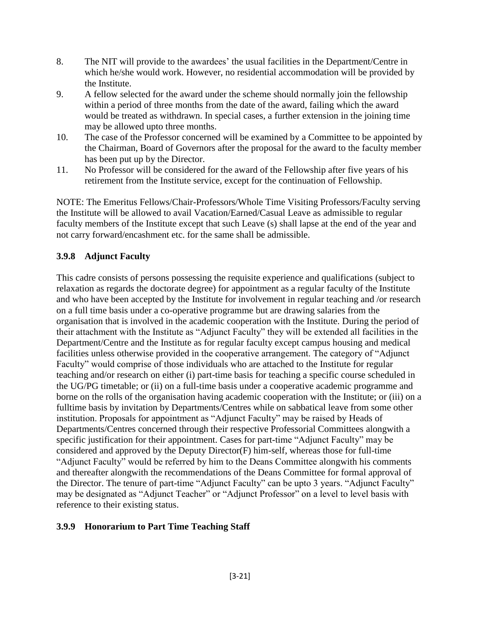- 8. The NIT will provide to the awardees' the usual facilities in the Department/Centre in which he/she would work. However, no residential accommodation will be provided by the Institute.
- 9. A fellow selected for the award under the scheme should normally join the fellowship within a period of three months from the date of the award, failing which the award would be treated as withdrawn. In special cases, a further extension in the joining time may be allowed upto three months.
- 10. The case of the Professor concerned will be examined by a Committee to be appointed by the Chairman, Board of Governors after the proposal for the award to the faculty member has been put up by the Director.
- 11. No Professor will be considered for the award of the Fellowship after five years of his retirement from the Institute service, except for the continuation of Fellowship.

NOTE: The Emeritus Fellows/Chair-Professors/Whole Time Visiting Professors/Faculty serving the Institute will be allowed to avail Vacation/Earned/Casual Leave as admissible to regular faculty members of the Institute except that such Leave (s) shall lapse at the end of the year and not carry forward/encashment etc. for the same shall be admissible.

## **3.9.8 Adjunct Faculty**

This cadre consists of persons possessing the requisite experience and qualifications (subject to relaxation as regards the doctorate degree) for appointment as a regular faculty of the Institute and who have been accepted by the Institute for involvement in regular teaching and /or research on a full time basis under a co-operative programme but are drawing salaries from the organisation that is involved in the academic cooperation with the Institute. During the period of their attachment with the Institute as "Adjunct Faculty" they will be extended all facilities in the Department/Centre and the Institute as for regular faculty except campus housing and medical facilities unless otherwise provided in the cooperative arrangement. The category of "Adjunct Faculty" would comprise of those individuals who are attached to the Institute for regular teaching and/or research on either (i) part-time basis for teaching a specific course scheduled in the UG/PG timetable; or (ii) on a full-time basis under a cooperative academic programme and borne on the rolls of the organisation having academic cooperation with the Institute; or (iii) on a fulltime basis by invitation by Departments/Centres while on sabbatical leave from some other institution. Proposals for appointment as "Adjunct Faculty" may be raised by Heads of Departments/Centres concerned through their respective Professorial Committees alongwith a specific justification for their appointment. Cases for part-time "Adjunct Faculty" may be considered and approved by the Deputy Director(F) him-self, whereas those for full-time "Adjunct Faculty" would be referred by him to the Deans Committee alongwith his comments and thereafter alongwith the recommendations of the Deans Committee for formal approval of the Director. The tenure of part-time "Adjunct Faculty" can be upto 3 years. "Adjunct Faculty" may be designated as "Adjunct Teacher" or "Adjunct Professor" on a level to level basis with reference to their existing status.

#### **3.9.9 Honorarium to Part Time Teaching Staff**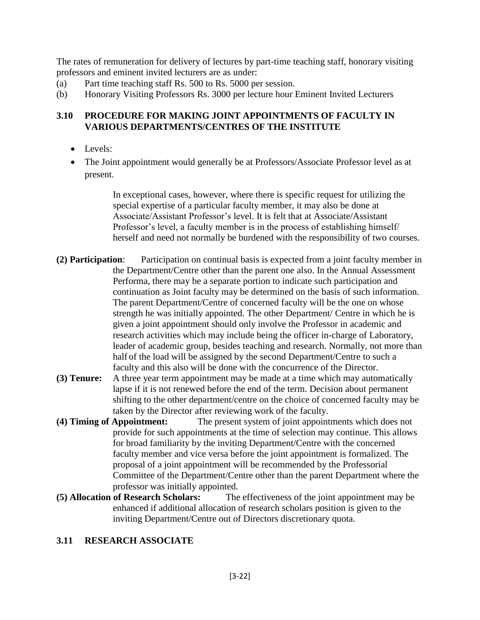The rates of remuneration for delivery of lectures by part-time teaching staff, honorary visiting professors and eminent invited lecturers are as under:

- (a) Part time teaching staff Rs. 500 to Rs. 5000 per session.
- (b) Honorary Visiting Professors Rs. 3000 per lecture hour Eminent Invited Lecturers

#### **3.10 PROCEDURE FOR MAKING JOINT APPOINTMENTS OF FACULTY IN VARIOUS DEPARTMENTS/CENTRES OF THE INSTITUTE**

- Levels:
- The Joint appointment would generally be at Professors/Associate Professor level as at present.

In exceptional cases, however, where there is specific request for utilizing the special expertise of a particular faculty member, it may also be done at Associate/Assistant Professor's level. It is felt that at Associate/Assistant Professor's level, a faculty member is in the process of establishing himself/ herself and need not normally be burdened with the responsibility of two courses.

- **(2) Participation**: Participation on continual basis is expected from a joint faculty member in the Department/Centre other than the parent one also. In the Annual Assessment Performa, there may be a separate portion to indicate such participation and continuation as Joint faculty may be determined on the basis of such information. The parent Department/Centre of concerned faculty will be the one on whose strength he was initially appointed. The other Department/ Centre in which he is given a joint appointment should only involve the Professor in academic and research activities which may include being the officer in-charge of Laboratory, leader of academic group, besides teaching and research. Normally, not more than half of the load will be assigned by the second Department/Centre to such a faculty and this also will be done with the concurrence of the Director.
- **(3) Tenure:** A three year term appointment may be made at a time which may automatically lapse if it is not renewed before the end of the term. Decision about permanent shifting to the other department/centre on the choice of concerned faculty may be taken by the Director after reviewing work of the faculty.
- **(4) Timing of Appointment:** The present system of joint appointments which does not provide for such appointments at the time of selection may continue. This allows for broad familiarity by the inviting Department/Centre with the concerned faculty member and vice versa before the joint appointment is formalized. The proposal of a joint appointment will be recommended by the Professorial Committee of the Department/Centre other than the parent Department where the professor was initially appointed.
- **(5) Allocation of Research Scholars:** The effectiveness of the joint appointment may be enhanced if additional allocation of research scholars position is given to the inviting Department/Centre out of Directors discretionary quota.

### **3.11 RESEARCH ASSOCIATE**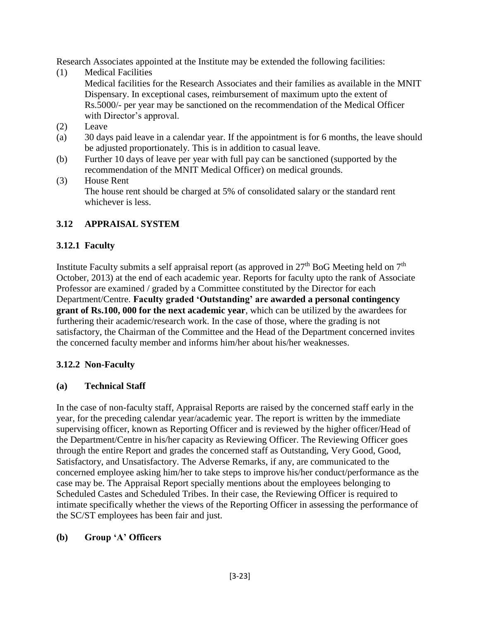Research Associates appointed at the Institute may be extended the following facilities:

- (1) Medical Facilities Medical facilities for the Research Associates and their families as available in the MNIT Dispensary. In exceptional cases, reimbursement of maximum upto the extent of Rs.5000/- per year may be sanctioned on the recommendation of the Medical Officer with Director's approval.
- (2) Leave
- (a) 30 days paid leave in a calendar year. If the appointment is for 6 months, the leave should be adjusted proportionately. This is in addition to casual leave.
- (b) Further 10 days of leave per year with full pay can be sanctioned (supported by the recommendation of the MNIT Medical Officer) on medical grounds.
- (3) House Rent The house rent should be charged at 5% of consolidated salary or the standard rent whichever is less.

## **3.12 APPRAISAL SYSTEM**

## **3.12.1 Faculty**

Institute Faculty submits a self appraisal report (as approved in  $27<sup>th</sup>$  BoG Meeting held on  $7<sup>th</sup>$ October, 2013) at the end of each academic year. Reports for faculty upto the rank of Associate Professor are examined / graded by a Committee constituted by the Director for each Department/Centre. **Faculty graded 'Outstanding' are awarded a personal contingency grant of Rs.100, 000 for the next academic year**, which can be utilized by the awardees for furthering their academic/research work. In the case of those, where the grading is not satisfactory, the Chairman of the Committee and the Head of the Department concerned invites the concerned faculty member and informs him/her about his/her weaknesses.

## **3.12.2 Non-Faculty**

### **(a) Technical Staff**

In the case of non-faculty staff, Appraisal Reports are raised by the concerned staff early in the year, for the preceding calendar year/academic year. The report is written by the immediate supervising officer, known as Reporting Officer and is reviewed by the higher officer/Head of the Department/Centre in his/her capacity as Reviewing Officer. The Reviewing Officer goes through the entire Report and grades the concerned staff as Outstanding, Very Good, Good, Satisfactory, and Unsatisfactory. The Adverse Remarks, if any, are communicated to the concerned employee asking him/her to take steps to improve his/her conduct/performance as the case may be. The Appraisal Report specially mentions about the employees belonging to Scheduled Castes and Scheduled Tribes. In their case, the Reviewing Officer is required to intimate specifically whether the views of the Reporting Officer in assessing the performance of the SC/ST employees has been fair and just.

### **(b) Group 'A' Officers**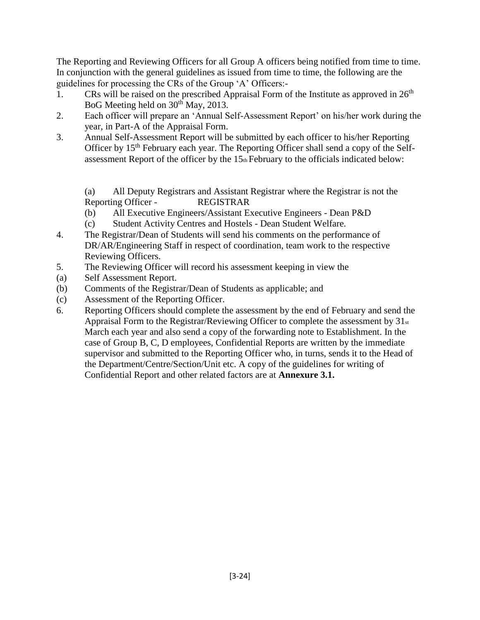The Reporting and Reviewing Officers for all Group A officers being notified from time to time. In conjunction with the general guidelines as issued from time to time, the following are the guidelines for processing the CRs of the Group 'A' Officers:-

- 1. CRs will be raised on the prescribed Appraisal Form of the Institute as approved in  $26<sup>th</sup>$ BoG Meeting held on  $30<sup>th</sup>$  May, 2013.
- 2. Each officer will prepare an 'Annual Self-Assessment Report' on his/her work during the year, in Part-A of the Appraisal Form.
- 3. Annual Self-Assessment Report will be submitted by each officer to his/her Reporting Officer by  $15<sup>th</sup>$  February each year. The Reporting Officer shall send a copy of the Selfassessment Report of the officer by the  $15<sub>th</sub>$  February to the officials indicated below:

(a) All Deputy Registrars and Assistant Registrar where the Registrar is not the Reporting Officer - REGISTRAR

- (b) All Executive Engineers/Assistant Executive Engineers Dean P&D
- (c) Student Activity Centres and Hostels Dean Student Welfare.
- 4. The Registrar/Dean of Students will send his comments on the performance of DR/AR/Engineering Staff in respect of coordination, team work to the respective Reviewing Officers.
- 5. The Reviewing Officer will record his assessment keeping in view the
- (a) Self Assessment Report.
- (b) Comments of the Registrar/Dean of Students as applicable; and
- (c) Assessment of the Reporting Officer.
- 6. Reporting Officers should complete the assessment by the end of February and send the Appraisal Form to the Registrar/Reviewing Officer to complete the assessment by  $31_{st}$ March each year and also send a copy of the forwarding note to Establishment. In the case of Group B, C, D employees, Confidential Reports are written by the immediate supervisor and submitted to the Reporting Officer who, in turns, sends it to the Head of the Department/Centre/Section/Unit etc. A copy of the guidelines for writing of Confidential Report and other related factors are at **Annexure 3.1.**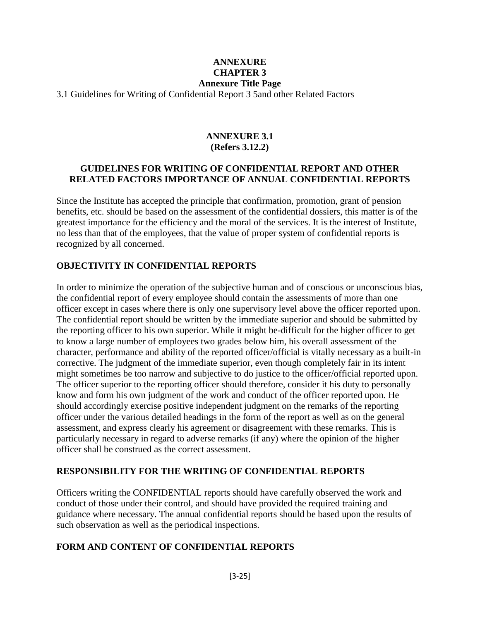### **ANNEXURE CHAPTER 3 Annexure Title Page**

3.1 Guidelines for Writing of Confidential Report 3 5and other Related Factors

#### **ANNEXURE 3.1 (Refers 3.12.2)**

#### **GUIDELINES FOR WRITING OF CONFIDENTIAL REPORT AND OTHER RELATED FACTORS IMPORTANCE OF ANNUAL CONFIDENTIAL REPORTS**

Since the Institute has accepted the principle that confirmation, promotion, grant of pension benefits, etc. should be based on the assessment of the confidential dossiers, this matter is of the greatest importance for the efficiency and the moral of the services. It is the interest of Institute, no less than that of the employees, that the value of proper system of confidential reports is recognized by all concerned.

#### **OBJECTIVITY IN CONFIDENTIAL REPORTS**

In order to minimize the operation of the subjective human and of conscious or unconscious bias, the confidential report of every employee should contain the assessments of more than one officer except in cases where there is only one supervisory level above the officer reported upon. The confidential report should be written by the immediate superior and should be submitted by the reporting officer to his own superior. While it might be-difficult for the higher officer to get to know a large number of employees two grades below him, his overall assessment of the character, performance and ability of the reported officer/official is vitally necessary as a built-in corrective. The judgment of the immediate superior, even though completely fair in its intent might sometimes be too narrow and subjective to do justice to the officer/official reported upon. The officer superior to the reporting officer should therefore, consider it his duty to personally know and form his own judgment of the work and conduct of the officer reported upon. He should accordingly exercise positive independent judgment on the remarks of the reporting officer under the various detailed headings in the form of the report as well as on the general assessment, and express clearly his agreement or disagreement with these remarks. This is particularly necessary in regard to adverse remarks (if any) where the opinion of the higher officer shall be construed as the correct assessment.

#### **RESPONSIBILITY FOR THE WRITING OF CONFIDENTIAL REPORTS**

Officers writing the CONFIDENTIAL reports should have carefully observed the work and conduct of those under their control, and should have provided the required training and guidance where necessary. The annual confidential reports should be based upon the results of such observation as well as the periodical inspections.

#### **FORM AND CONTENT OF CONFIDENTIAL REPORTS**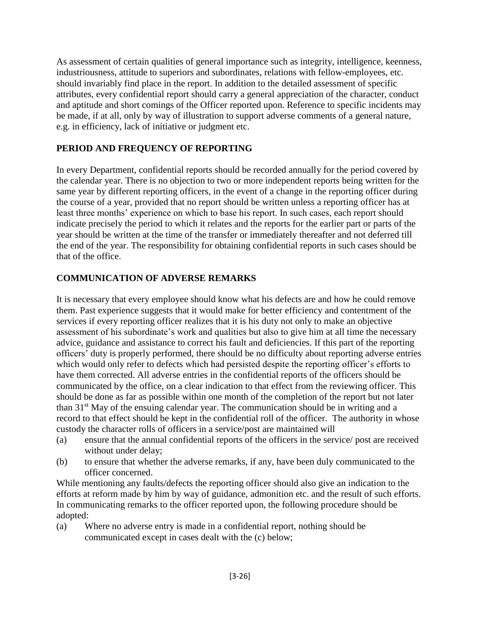As assessment of certain qualities of general importance such as integrity, intelligence, keenness, industriousness, attitude to superiors and subordinates, relations with fellow-employees, etc. should invariably find place in the report. In addition to the detailed assessment of specific attributes, every confidential report should carry a general appreciation of the character, conduct and aptitude and short comings of the Officer reported upon. Reference to specific incidents may be made, if at all, only by way of illustration to support adverse comments of a general nature, e.g. in efficiency, lack of initiative or judgment etc.

### **PERIOD AND FREQUENCY OF REPORTING**

In every Department, confidential reports should be recorded annually for the period covered by the calendar year. There is no objection to two or more independent reports being written for the same year by different reporting officers, in the event of a change in the reporting officer during the course of a year, provided that no report should be written unless a reporting officer has at least three months' experience on which to base his report. In such cases, each report should indicate precisely the period to which it relates and the reports for the earlier part or parts of the year should be written at the time of the transfer or immediately thereafter and not deferred till the end of the year. The responsibility for obtaining confidential reports in such cases should be that of the office.

## **COMMUNICATION OF ADVERSE REMARKS**

It is necessary that every employee should know what his defects are and how he could remove them. Past experience suggests that it would make for better efficiency and contentment of the services if every reporting officer realizes that it is his duty not only to make an objective assessment of his subordinate's work and qualities but also to give him at all time the necessary advice, guidance and assistance to correct his fault and deficiencies. If this part of the reporting officers' duty is properly performed, there should be no difficulty about reporting adverse entries which would only refer to defects which had persisted despite the reporting officer's efforts to have them corrected. All adverse entries in the confidential reports of the officers should be communicated by the office, on a clear indication to that effect from the reviewing officer. This should be done as far as possible within one month of the completion of the report but not later than  $31<sup>st</sup>$  May of the ensuing calendar year. The communication should be in writing and a record to that effect should be kept in the confidential roll of the officer. The authority in whose custody the character rolls of officers in a service/post are maintained will

- (a) ensure that the annual confidential reports of the officers in the service/ post are received without under delay;
- (b) to ensure that whether the adverse remarks, if any, have been duly communicated to the officer concerned.

While mentioning any faults/defects the reporting officer should also give an indication to the efforts at reform made by him by way of guidance, admonition etc. and the result of such efforts. In communicating remarks to the officer reported upon, the following procedure should be adopted:

(a) Where no adverse entry is made in a confidential report, nothing should be communicated except in cases dealt with the (c) below;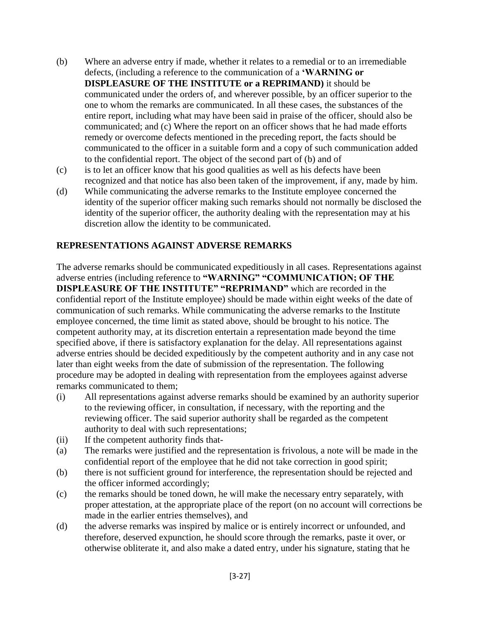- (b) Where an adverse entry if made, whether it relates to a remedial or to an irremediable defects, (including a reference to the communication of a **'WARNING or DISPLEASURE OF THE INSTITUTE or a REPRIMAND)** it should be communicated under the orders of, and wherever possible, by an officer superior to the one to whom the remarks are communicated. In all these cases, the substances of the entire report, including what may have been said in praise of the officer, should also be communicated; and (c) Where the report on an officer shows that he had made efforts remedy or overcome defects mentioned in the preceding report, the facts should be communicated to the officer in a suitable form and a copy of such communication added to the confidential report. The object of the second part of (b) and of
- (c) is to let an officer know that his good qualities as well as his defects have been recognized and that notice has also been taken of the improvement, if any, made by him.
- (d) While communicating the adverse remarks to the Institute employee concerned the identity of the superior officer making such remarks should not normally be disclosed the identity of the superior officer, the authority dealing with the representation may at his discretion allow the identity to be communicated.

#### **REPRESENTATIONS AGAINST ADVERSE REMARKS**

The adverse remarks should be communicated expeditiously in all cases. Representations against adverse entries (including reference to **"WARNING" "COMMUNICATION; OF THE DISPLEASURE OF THE INSTITUTE" "REPRIMAND"** which are recorded in the confidential report of the Institute employee) should be made within eight weeks of the date of communication of such remarks. While communicating the adverse remarks to the Institute employee concerned, the time limit as stated above, should be brought to his notice. The competent authority may, at its discretion entertain a representation made beyond the time specified above, if there is satisfactory explanation for the delay. All representations against adverse entries should be decided expeditiously by the competent authority and in any case not later than eight weeks from the date of submission of the representation. The following procedure may be adopted in dealing with representation from the employees against adverse remarks communicated to them;

- (i) All representations against adverse remarks should be examined by an authority superior to the reviewing officer, in consultation, if necessary, with the reporting and the reviewing officer. The said superior authority shall be regarded as the competent authority to deal with such representations;
- (ii) If the competent authority finds that-
- (a) The remarks were justified and the representation is frivolous, a note will be made in the confidential report of the employee that he did not take correction in good spirit;
- (b) there is not sufficient ground for interference, the representation should be rejected and the officer informed accordingly;
- (c) the remarks should be toned down, he will make the necessary entry separately, with proper attestation, at the appropriate place of the report (on no account will corrections be made in the earlier entries themselves), and
- (d) the adverse remarks was inspired by malice or is entirely incorrect or unfounded, and therefore, deserved expunction, he should score through the remarks, paste it over, or otherwise obliterate it, and also make a dated entry, under his signature, stating that he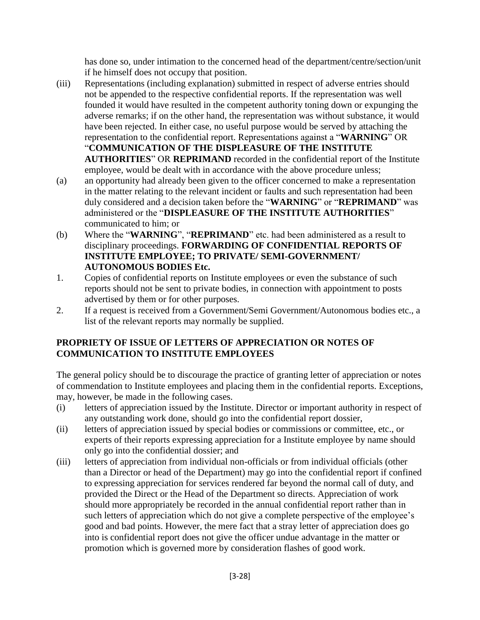has done so, under intimation to the concerned head of the department/centre/section/unit if he himself does not occupy that position.

- (iii) Representations (including explanation) submitted in respect of adverse entries should not be appended to the respective confidential reports. If the representation was well founded it would have resulted in the competent authority toning down or expunging the adverse remarks; if on the other hand, the representation was without substance, it would have been rejected. In either case, no useful purpose would be served by attaching the representation to the confidential report. Representations against a "**WARNING**" OR "**COMMUNICATION OF THE DISPLEASURE OF THE INSTITUTE AUTHORITIES**" OR **REPRIMAND** recorded in the confidential report of the Institute employee, would be dealt with in accordance with the above procedure unless;
- (a) an opportunity had already been given to the officer concerned to make a representation in the matter relating to the relevant incident or faults and such representation had been duly considered and a decision taken before the "**WARNING**" or "**REPRIMAND**" was administered or the "**DISPLEASURE OF THE INSTITUTE AUTHORITIES**" communicated to him; or
- (b) Where the "**WARNING**", "**REPRIMAND**" etc. had been administered as a result to disciplinary proceedings. **FORWARDING OF CONFIDENTIAL REPORTS OF INSTITUTE EMPLOYEE; TO PRIVATE/ SEMI-GOVERNMENT/ AUTONOMOUS BODIES Etc.**
- 1. Copies of confidential reports on Institute employees or even the substance of such reports should not be sent to private bodies, in connection with appointment to posts advertised by them or for other purposes.
- 2. If a request is received from a Government/Semi Government/Autonomous bodies etc., a list of the relevant reports may normally be supplied.

### **PROPRIETY OF ISSUE OF LETTERS OF APPRECIATION OR NOTES OF COMMUNICATION TO INSTITUTE EMPLOYEES**

The general policy should be to discourage the practice of granting letter of appreciation or notes of commendation to Institute employees and placing them in the confidential reports. Exceptions, may, however, be made in the following cases.

- (i) letters of appreciation issued by the Institute. Director or important authority in respect of any outstanding work done, should go into the confidential report dossier,
- (ii) letters of appreciation issued by special bodies or commissions or committee, etc., or experts of their reports expressing appreciation for a Institute employee by name should only go into the confidential dossier; and
- (iii) letters of appreciation from individual non-officials or from individual officials (other than a Director or head of the Department) may go into the confidential report if confined to expressing appreciation for services rendered far beyond the normal call of duty, and provided the Direct or the Head of the Department so directs. Appreciation of work should more appropriately be recorded in the annual confidential report rather than in such letters of appreciation which do not give a complete perspective of the employee's good and bad points. However, the mere fact that a stray letter of appreciation does go into is confidential report does not give the officer undue advantage in the matter or promotion which is governed more by consideration flashes of good work.